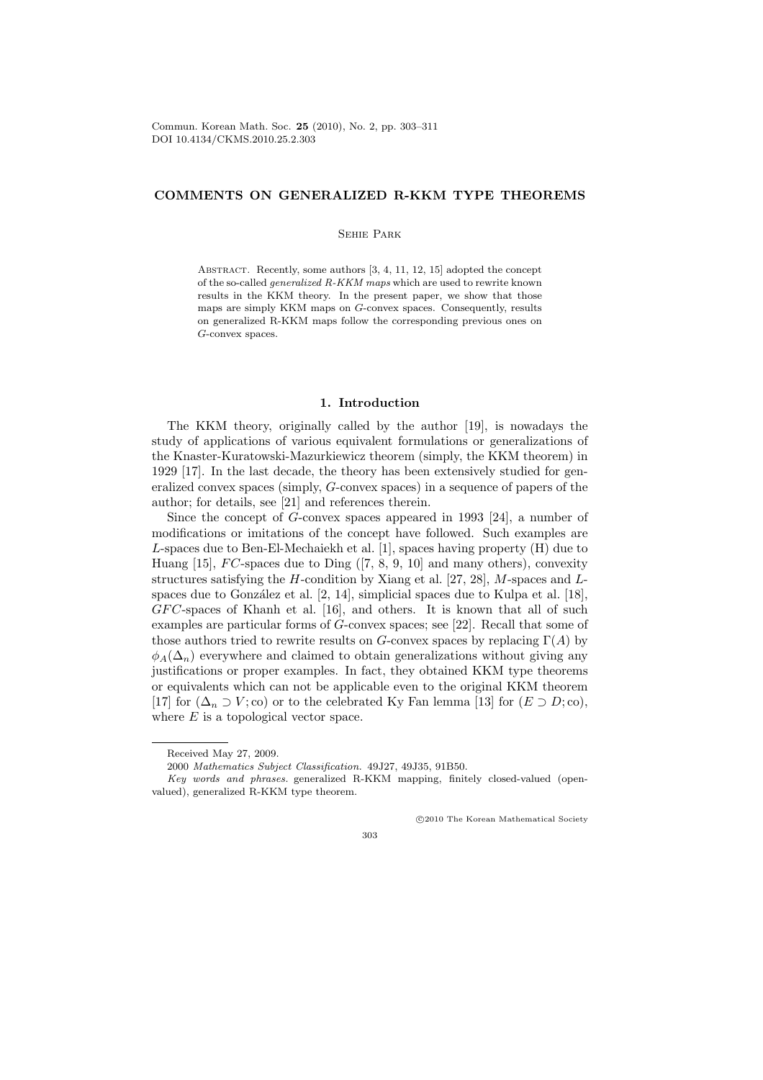Commun. Korean Math. Soc. 25 (2010), No. 2, pp. 303–311 DOI 10.4134/CKMS.2010.25.2.303

# COMMENTS ON GENERALIZED R-KKM TYPE THEOREMS

## Sehie Park

ABSTRACT. Recently, some authors [3, 4, 11, 12, 15] adopted the concept of the so-called generalized R-KKM maps which are used to rewrite known results in the KKM theory. In the present paper, we show that those maps are simply KKM maps on G-convex spaces. Consequently, results on generalized R-KKM maps follow the corresponding previous ones on G-convex spaces.

## 1. Introduction

The KKM theory, originally called by the author [19], is nowadays the study of applications of various equivalent formulations or generalizations of the Knaster-Kuratowski-Mazurkiewicz theorem (simply, the KKM theorem) in 1929 [17]. In the last decade, the theory has been extensively studied for generalized convex spaces (simply, G-convex spaces) in a sequence of papers of the author; for details, see [21] and references therein.

Since the concept of G-convex spaces appeared in 1993 [24], a number of modifications or imitations of the concept have followed. Such examples are L-spaces due to Ben-El-Mechaiekh et al. [1], spaces having property (H) due to Huang [15],  $FC$ -spaces due to Ding ([7, 8, 9, 10] and many others), convexity structures satisfying the H-condition by Xiang et al.  $[27, 28]$ , M-spaces and Lspaces due to González et al.  $[2, 14]$ , simplicial spaces due to Kulpa et al.  $[18]$ , GFC-spaces of Khanh et al. [16], and others. It is known that all of such examples are particular forms of G-convex spaces; see [22]. Recall that some of those authors tried to rewrite results on G-convex spaces by replacing  $\Gamma(A)$  by  $\phi_A(\Delta_n)$  everywhere and claimed to obtain generalizations without giving any justifications or proper examples. In fact, they obtained KKM type theorems or equivalents which can not be applicable even to the original KKM theorem [17] for  $(\Delta_n \supset V; \text{co})$  or to the celebrated Ky Fan lemma [13] for  $(E \supset D; \text{co})$ , where  $E$  is a topological vector space.

°c 2010 The Korean Mathematical Society

303

Received May 27, 2009.

<sup>2000</sup> Mathematics Subject Classification. 49J27, 49J35, 91B50.

Key words and phrases. generalized R-KKM mapping, finitely closed-valued (openvalued), generalized R-KKM type theorem.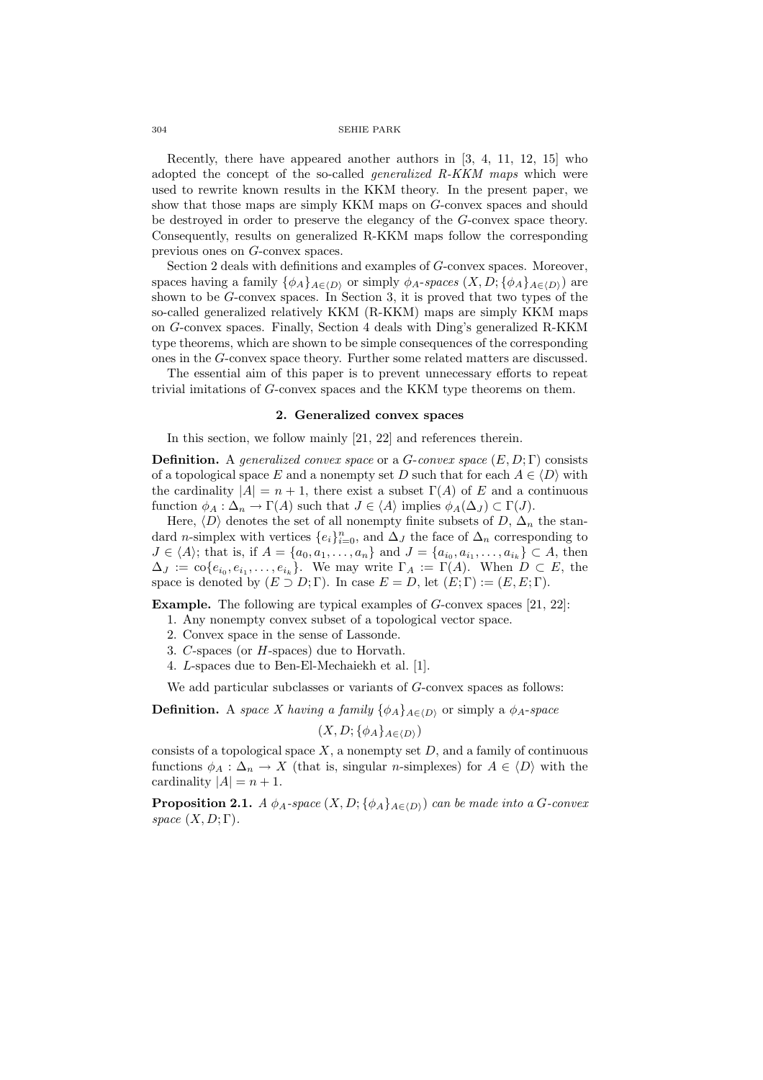#### 304 SEHIE PARK

Recently, there have appeared another authors in [3, 4, 11, 12, 15] who adopted the concept of the so-called generalized R-KKM maps which were used to rewrite known results in the KKM theory. In the present paper, we show that those maps are simply KKM maps on G-convex spaces and should be destroyed in order to preserve the elegancy of the G-convex space theory. Consequently, results on generalized R-KKM maps follow the corresponding previous ones on G-convex spaces.

Section 2 deals with definitions and examples of G-convex spaces. Moreover, spaces having a family  $\{\phi_A\}_{A\in\langle D\rangle}$  or simply  $\phi_A$ -spaces  $(X, D; {\phi_A\}_{A\in\langle D\rangle})$  are shown to be G-convex spaces. In Section 3, it is proved that two types of the so-called generalized relatively KKM (R-KKM) maps are simply KKM maps on G-convex spaces. Finally, Section 4 deals with Ding's generalized R-KKM type theorems, which are shown to be simple consequences of the corresponding ones in the G-convex space theory. Further some related matters are discussed.

The essential aim of this paper is to prevent unnecessary efforts to repeat trivial imitations of G-convex spaces and the KKM type theorems on them.

## 2. Generalized convex spaces

In this section, we follow mainly [21, 22] and references therein.

**Definition.** A generalized convex space or a G-convex space  $(E, D; \Gamma)$  consists of a topological space E and a nonempty set D such that for each  $A \in \langle D \rangle$  with the cardinality  $|A| = n + 1$ , there exist a subset  $\Gamma(A)$  of E and a continuous function  $\phi_A : \Delta_n \to \Gamma(A)$  such that  $J \in \langle A \rangle$  implies  $\phi_A(\Delta_J) \subset \Gamma(J)$ .

Here,  $\langle D \rangle$  denotes the set of all nonempty finite subsets of D,  $\Delta_n$  the standard n-simplex with vertices  $\{e_i\}_{i=0}^n$ , and  $\Delta_J$  the face of  $\Delta_n$  corresponding to  $J \in \langle A \rangle$ ; that is, if  $A = \{a_0, a_1, \ldots, a_n\}$  and  $J = \{a_{i_0}, a_{i_1}, \ldots, a_{i_k}\} \subset A$ , then  $\Delta_J := \text{co}\{e_{i_0}, e_{i_1}, \ldots, e_{i_k}\}.$  We may write  $\Gamma_A := \Gamma(A)$ . When  $D \subset E$ , the space is denoted by  $(E \supset D; \Gamma)$ . In case  $E = D$ , let  $(E; \Gamma) := (E, E; \Gamma)$ .

Example. The following are typical examples of G-convex spaces [21, 22]:

- 1. Any nonempty convex subset of a topological vector space.
- 2. Convex space in the sense of Lassonde.
- 3. C-spaces (or H-spaces) due to Horvath.
- 4. L-spaces due to Ben-El-Mechaiekh et al. [1].

We add particular subclasses or variants of G-convex spaces as follows:

**Definition.** A space X having a family  $\{\phi_A\}_{A\in\{D\}}$  or simply a  $\phi_A$ -space

$$
(X, D; \{\phi_A\}_{A \in \langle D \rangle})
$$

consists of a topological space  $X$ , a nonempty set  $D$ , and a family of continuous functions  $\phi_A : \Delta_n \to X$  (that is, singular *n*-simplexes) for  $A \in \langle D \rangle$  with the cardinality  $|A| = n + 1$ .

**Proposition 2.1.** A  $\phi_A$ -space  $(X, D; {\phi_A}_{A\in\langle D \rangle})$  can be made into a G-convex space  $(X, D; \Gamma)$ .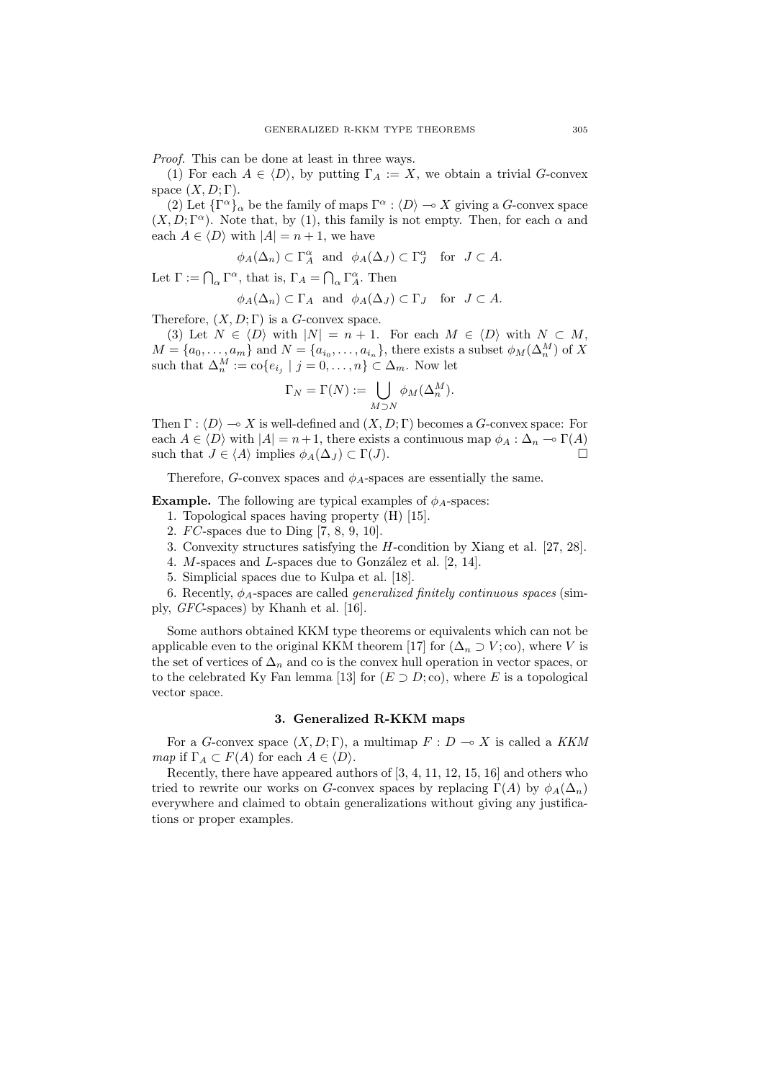Proof. This can be done at least in three ways.

(1) For each  $A \in \langle D \rangle$ , by putting  $\Gamma_A := X$ , we obtain a trivial G-convex space  $(X, D; \Gamma)$ .

(2) Let  $\{\Gamma^{\alpha}\}_\alpha$  be the family of maps  $\Gamma^{\alpha}$  :  $\langle D \rangle \to X$  giving a G-convex space  $(X, D; \Gamma^{\alpha})$ . Note that, by (1), this family is not empty. Then, for each  $\alpha$  and each  $A \in \langle D \rangle$  with  $|A| = n + 1$ , we have

$$
\phi_A(\Delta_n) \subset \Gamma_A^{\alpha}
$$
 and  $\phi_A(\Delta_J) \subset \Gamma_J^{\alpha}$  for  $J \subset A$ .

Let  $\Gamma := \bigcap_{\alpha} \Gamma^{\alpha}$ , that is,  $\Gamma_A = \bigcap_{\alpha} \Gamma^{\alpha}$ . Then

$$
\phi_A(\Delta_n) \subset \Gamma_A
$$
 and  $\phi_A(\Delta_J) \subset \Gamma_J$  for  $J \subset A$ .

Therefore,  $(X, D; \Gamma)$  is a G-convex space.

(3) Let  $N \in \langle D \rangle$  with  $|N| = n + 1$ . For each  $M \in \langle D \rangle$  with  $N \subset M$ ,  $M = \{a_0, \ldots, a_m\}$  and  $N = \{a_{i_0}, \ldots, a_{i_n}\}\$ , there exists a subset  $\phi_M(\Delta_n^M)$  of X such that  $\Delta_n^M := \text{co}\{e_{i_j} \mid j = 0, \ldots, n\} \subset \Delta_m$ . Now let

$$
\Gamma_N = \Gamma(N) := \bigcup_{M \supset N} \phi_M(\Delta_n^M).
$$

Then  $\Gamma : \langle D \rangle \longrightarrow X$  is well-defined and  $(X, D; \Gamma)$  becomes a G-convex space: For each  $A \in \langle D \rangle$  with  $|A| = n + 1$ , there exists a continuous map  $\phi_A : \Delta_n \to \Gamma(A)$ such that  $J \in \langle A \rangle$  implies  $\phi_A(\Delta_J) \subset \Gamma(J)$ .

Therefore, G-convex spaces and  $\phi_A$ -spaces are essentially the same.

**Example.** The following are typical examples of  $\phi_A$ -spaces:

- 1. Topological spaces having property (H) [15].
- 2.  $FC$ -spaces due to Ding [7, 8, 9, 10].
- 3. Convexity structures satisfying the H-condition by Xiang et al. [27, 28].
- 4. M-spaces and L-spaces due to González et al.  $[2, 14]$ .
- 5. Simplicial spaces due to Kulpa et al. [18].

6. Recently,  $\phi_A$ -spaces are called *generalized finitely continuous spaces* (simply, GFC-spaces) by Khanh et al. [16].

Some authors obtained KKM type theorems or equivalents which can not be applicable even to the original KKM theorem [17] for  $(\Delta_n \supset V; \text{co})$ , where V is the set of vertices of  $\Delta_n$  and co is the convex hull operation in vector spaces, or to the celebrated Ky Fan lemma [13] for  $(E \supset D; \text{co})$ , where E is a topological vector space.

#### 3. Generalized R-KKM maps

For a G-convex space  $(X, D; \Gamma)$ , a multimap  $F: D \to X$  is called a KKM map if  $\Gamma_A \subset F(A)$  for each  $A \in \langle D \rangle$ .

Recently, there have appeared authors of [3, 4, 11, 12, 15, 16] and others who tried to rewrite our works on G-convex spaces by replacing  $\Gamma(A)$  by  $\phi_A(\Delta_n)$ everywhere and claimed to obtain generalizations without giving any justifications or proper examples.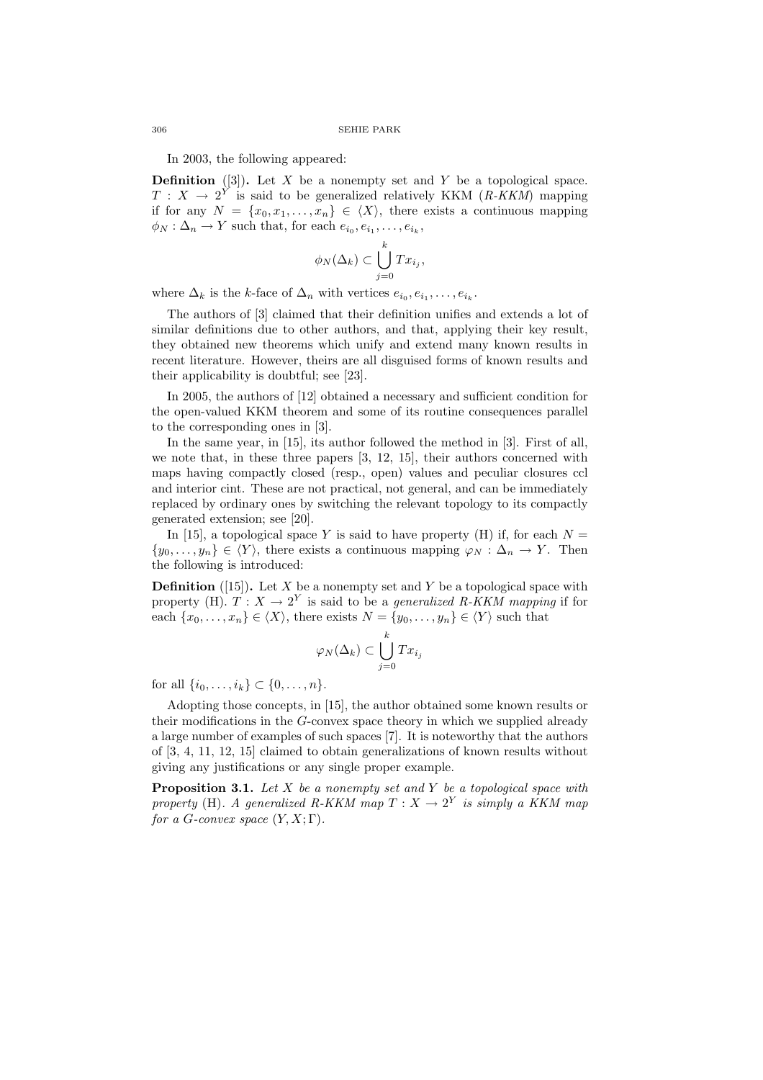### 306 SEHIE PARK

In 2003, the following appeared:

**Definition** ([3]). Let X be a nonempty set and Y be a topological space.  $T : X \longrightarrow 2^Y$  is said to be generalized relatively KKM (R-KKM) mapping if for any  $N = \{x_0, x_1, \ldots, x_n\} \in \langle X \rangle$ , there exists a continuous mapping  $\phi_N : \Delta_n \to Y$  such that, for each  $e_{i_0}, e_{i_1}, \ldots, e_{i_k},$ 

$$
\phi_N(\Delta_k) \subset \bigcup_{j=0}^k Tx_{i_j},
$$

where  $\Delta_k$  is the k-face of  $\Delta_n$  with vertices  $e_{i_0}, e_{i_1}, \ldots, e_{i_k}$ .

The authors of [3] claimed that their definition unifies and extends a lot of similar definitions due to other authors, and that, applying their key result, they obtained new theorems which unify and extend many known results in recent literature. However, theirs are all disguised forms of known results and their applicability is doubtful; see [23].

In 2005, the authors of [12] obtained a necessary and sufficient condition for the open-valued KKM theorem and some of its routine consequences parallel to the corresponding ones in [3].

In the same year, in [15], its author followed the method in [3]. First of all, we note that, in these three papers [3, 12, 15], their authors concerned with maps having compactly closed (resp., open) values and peculiar closures ccl and interior cint. These are not practical, not general, and can be immediately replaced by ordinary ones by switching the relevant topology to its compactly generated extension; see [20].

In [15], a topological space Y is said to have property (H) if, for each  $N =$  $\{y_0, \ldots, y_n\} \in \langle Y \rangle$ , there exists a continuous mapping  $\varphi_N : \Delta_n \to Y$ . Then the following is introduced:

**Definition** ([15]). Let X be a nonempty set and Y be a topological space with property (H).  $T: X \to 2^Y$  is said to be a *generalized R-KKM mapping* if for each  $\{x_0, \ldots, x_n\} \in \langle X \rangle$ , there exists  $N = \{y_0, \ldots, y_n\} \in \langle Y \rangle$  such that

$$
\varphi_N(\Delta_k) \subset \bigcup_{j=0}^k Tx_{i_j}
$$

for all  $\{i_0, \ldots, i_k\} \subset \{0, \ldots, n\}.$ 

Adopting those concepts, in [15], the author obtained some known results or their modifications in the G-convex space theory in which we supplied already a large number of examples of such spaces [7]. It is noteworthy that the authors of [3, 4, 11, 12, 15] claimed to obtain generalizations of known results without giving any justifications or any single proper example.

**Proposition 3.1.** Let  $X$  be a nonempty set and  $Y$  be a topological space with property (H). A generalized R-KKM map  $T : X \to 2^Y$  is simply a KKM map for a G-convex space  $(Y, X; \Gamma)$ .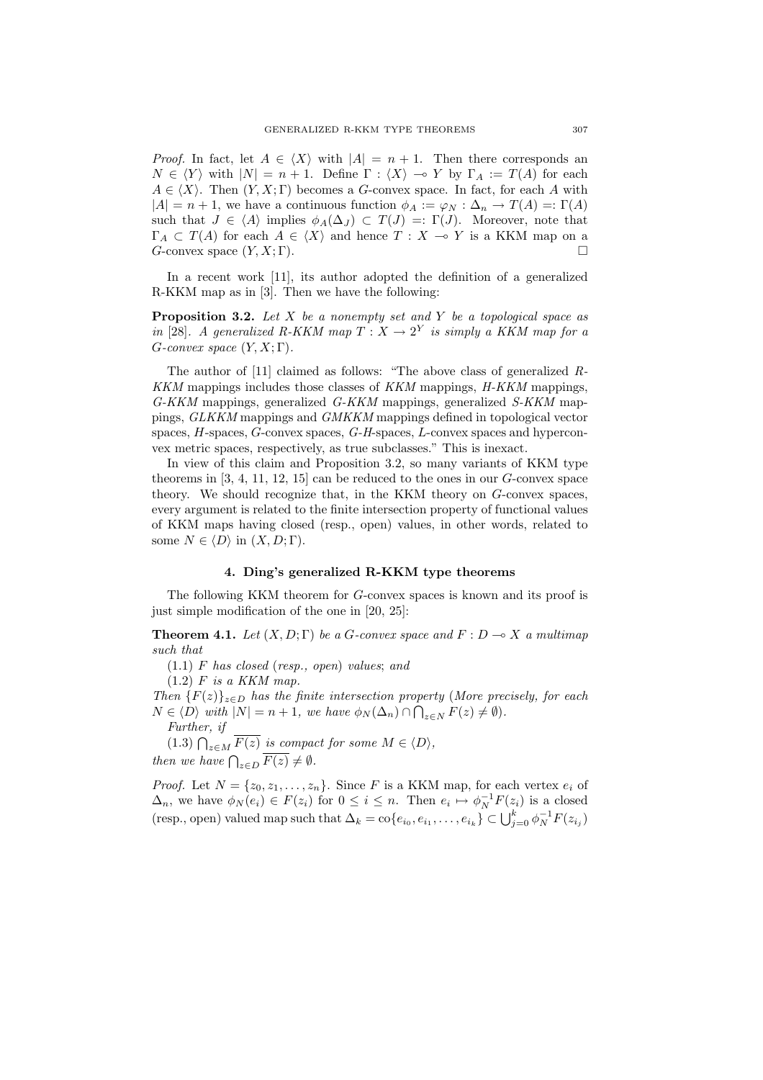*Proof.* In fact, let  $A \in \langle X \rangle$  with  $|A| = n + 1$ . Then there corresponds an  $N \in \langle Y \rangle$  with  $|N| = n + 1$ . Define  $\Gamma : \langle X \rangle \to Y$  by  $\Gamma_A := T(A)$  for each  $A \in \langle X \rangle$ . Then  $(Y, X; \Gamma)$  becomes a G-convex space. In fact, for each A with  $|A| = n + 1$ , we have a continuous function  $\phi_A := \varphi_N : \Delta_n \to T(A) =: \Gamma(A)$ such that  $J \in \langle A \rangle$  implies  $\phi_A(\Delta_J) \subset T(J) =: \Gamma(J)$ . Moreover, note that  $\Gamma_A \subset T(A)$  for each  $A \in \langle X \rangle$  and hence  $T : X \to Y$  is a KKM map on a G-convex space  $(Y, X; \Gamma)$ .

In a recent work [11], its author adopted the definition of a generalized R-KKM map as in [3]. Then we have the following:

**Proposition 3.2.** Let  $X$  be a nonempty set and  $Y$  be a topological space as in [28]. A generalized R-KKM map  $T : X \to 2^Y$  is simply a KKM map for a  $G\text{-}convex space (Y, X; \Gamma).$ 

The author of [11] claimed as follows: "The above class of generalized R-KKM mappings includes those classes of KKM mappings, H-KKM mappings, G-KKM mappings, generalized G-KKM mappings, generalized S-KKM mappings, GLKKM mappings and GMKKM mappings defined in topological vector spaces, H-spaces, G-convex spaces, G-H-spaces, L-convex spaces and hyperconvex metric spaces, respectively, as true subclasses." This is inexact.

In view of this claim and Proposition 3.2, so many variants of KKM type theorems in  $[3, 4, 11, 12, 15]$  can be reduced to the ones in our  $G$ -convex space theory. We should recognize that, in the KKM theory on G-convex spaces, every argument is related to the finite intersection property of functional values of KKM maps having closed (resp., open) values, in other words, related to some  $N \in \langle D \rangle$  in  $(X, D; \Gamma)$ .

## 4. Ding's generalized R-KKM type theorems

The following KKM theorem for G-convex spaces is known and its proof is just simple modification of the one in [20, 25]:

**Theorem 4.1.** Let  $(X, D; \Gamma)$  be a G-convex space and  $F: D \to X$  a multimap such that

(1.1) F has closed (resp., open) values; and

 $(1.2)$  F is a KKM map.

Then  ${F(z)}_{z\in D}$  has the finite intersection property (More precisely, for each  $N \in \langle D \rangle$  with  $|N| = n + 1$ , we have  $\phi_N(\Delta_n) \cap \bigcap_{z \in N} F(z) \neq \emptyset$ .

Further, if

(1.3)  $\bigcap_{z \in M} \overline{F(z)}$  is compact for some  $M \in \langle D \rangle$ ,<br>then we have  $\bigcap_{z \in D} \overline{F(z)} \neq \emptyset$ .

*Proof.* Let  $N = \{z_0, z_1, \ldots, z_n\}$ . Since F is a KKM map, for each vertex  $e_i$  of  $\Delta_n$ , we have  $\phi_N(e_i) \in F(z_i)$  for  $0 \leq i \leq n$ . Then  $e_i \mapsto \phi_N^{-1}F(z_i)$  is a closed  $\sum_{i=1}^{\infty} n_i$ , we have  $\varphi_N(e_i) \in \Gamma(z_i)$  for  $0 \leq i \leq n$ . Then  $e_i \mapsto \varphi_N \cap (z_i)$  is a closed (resp., open) valued map such that  $\Delta_k = \text{co}\{e_{i_0}, e_{i_1}, \ldots, e_{i_k}\} \subset \bigcup_{j=0}^k \varphi_N^{-1} F(z_{i_j})$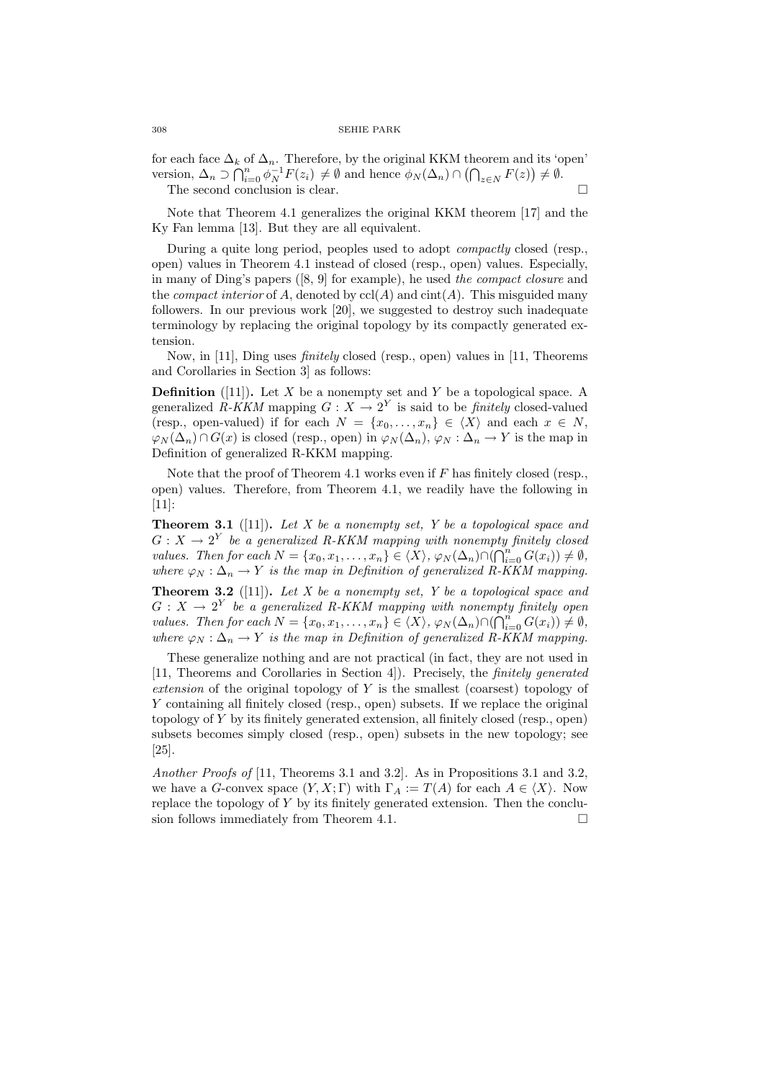for each face  $\Delta_k$  of  $\Delta_n$ . Therefore, by the original KKM theorem and its 'open' version,  $\Delta_n \supset \bigcap_{i=0}^n \phi_N^{-1} F(z_i) \neq \emptyset$  and hence  $\phi_N(\Delta_n) \cap (\bigcap_{z \in N} F(z)) \neq \emptyset$ . The second conclusion is clear.  $\Box$ 

Note that Theorem 4.1 generalizes the original KKM theorem [17] and the Ky Fan lemma [13]. But they are all equivalent.

During a quite long period, peoples used to adopt compactly closed (resp., open) values in Theorem 4.1 instead of closed (resp., open) values. Especially, in many of Ding's papers ([8, 9] for example), he used the compact closure and the *compact interior* of A, denoted by  $\text{ccl}(A)$  and  $\text{cint}(A)$ . This misguided many followers. In our previous work [20], we suggested to destroy such inadequate terminology by replacing the original topology by its compactly generated extension.

Now, in [11], Ding uses finitely closed (resp., open) values in [11, Theorems and Corollaries in Section 3] as follows:

**Definition** ([11]). Let  $X$  be a nonempty set and  $Y$  be a topological space. A generalized R-KKM mapping  $G: X \to 2^Y$  is said to be *finitely* closed-valued (resp., open-valued) if for each  $N = \{x_0, \ldots, x_n\} \in \langle X \rangle$  and each  $x \in N$ ,  $\varphi_N(\Delta_n) \cap G(x)$  is closed (resp., open) in  $\varphi_N(\Delta_n)$ ,  $\varphi_N : \Delta_n \to Y$  is the map in Definition of generalized R-KKM mapping.

Note that the proof of Theorem 4.1 works even if  $F$  has finitely closed (resp., open) values. Therefore, from Theorem 4.1, we readily have the following in [11]:

**Theorem 3.1** ([11]). Let X be a nonempty set, Y be a topological space and  $G: X \to 2^Y$  be a generalized R-KKM mapping with nonempty finitely closed values. Then for each  $N = \{x_0, x_1, \ldots, x_n\} \in \langle X \rangle$ ,  $\varphi_N(\Delta_n) \cap (\bigcap_{i=0}^n G(x_i)) \neq \emptyset$ , where  $\varphi_N : \Delta_n \to Y$  is the map in Definition of generalized R-KKM mapping.

**Theorem 3.2** ([11]). Let X be a nonempty set, Y be a topological space and  $G: X \to 2^Y$  be a generalized R-KKM mapping with nonempty finitely open<br>webset Then for each  $N = \begin{pmatrix} \infty & \infty & \infty \\ \infty & \infty & \infty \end{pmatrix}$  (A)  $\odot$  (O<sup>n</sup>  $G(\alpha)$ ) (A) values. Then for each  $N = \{x_0, x_1, \ldots, x_n\} \in \langle X \rangle$ ,  $\varphi_N(\Delta_n) \cap (\bigcap_{i=0}^n G(x_i)) \neq \emptyset$ , where  $\varphi_N : \Delta_n \to Y$  is the map in Definition of generalized R-KKM mapping.

These generalize nothing and are not practical (in fact, they are not used in [11, Theorems and Corollaries in Section 4]). Precisely, the finitely generated extension of the original topology of  $Y$  is the smallest (coarsest) topology of Y containing all finitely closed (resp., open) subsets. If we replace the original topology of Y by its finitely generated extension, all finitely closed (resp., open) subsets becomes simply closed (resp., open) subsets in the new topology; see [25].

Another Proofs of [11, Theorems 3.1 and 3.2]. As in Propositions 3.1 and 3.2, we have a G-convex space  $(Y, X; \Gamma)$  with  $\Gamma_A := T(A)$  for each  $A \in \langle X \rangle$ . Now replace the topology of  $Y$  by its finitely generated extension. Then the conclusion follows immediately from Theorem 4.1.  $\Box$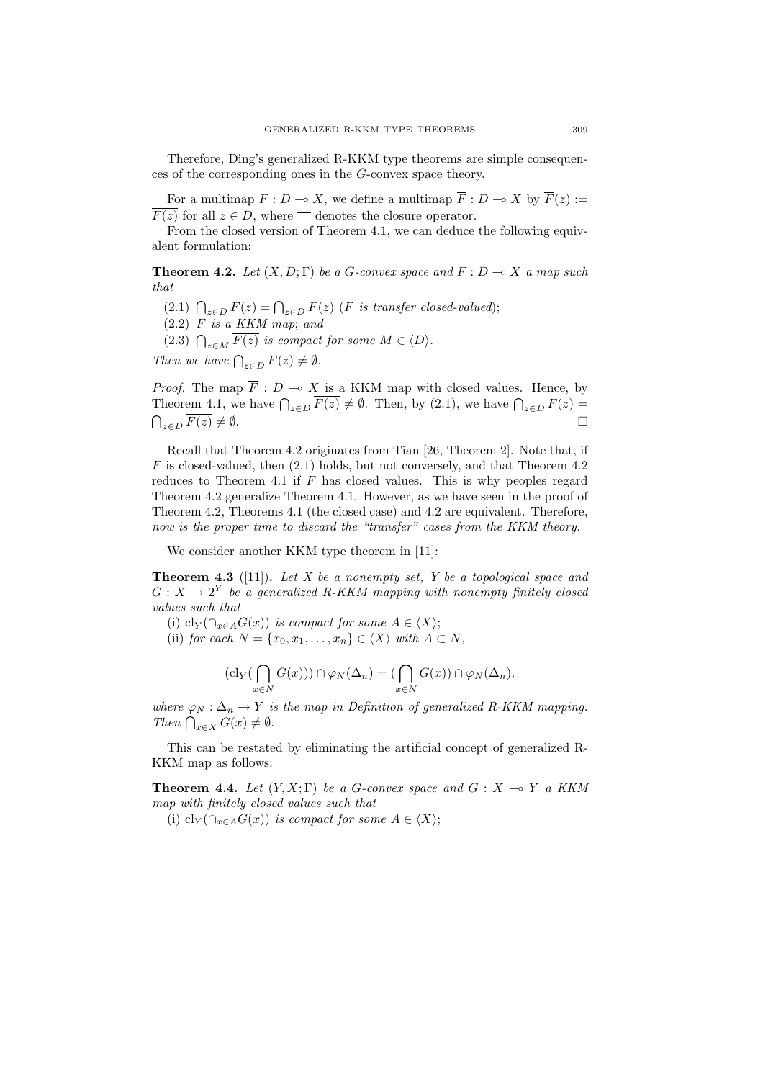Therefore, Ding's generalized R-KKM type theorems are simple consequences of the corresponding ones in the G-convex space theory.

For a multimap  $F : D \to X$ , we define a multimap  $\overline{F} : D \to X$  by  $\overline{F}(z) :=$  $\overline{F(z)}$  for all  $z \in D$ , where  $\overline{\phantom{a}}$  denotes the closure operator.

From the closed version of Theorem 4.1, we can deduce the following equivalent formulation:

**Theorem 4.2.** Let  $(X, D; \Gamma)$  be a G-convex space and  $F: D \to X$  a map such that

- (2.1)  $\bigcap_{z\in D} \overline{F(z)} = \bigcap_{z\in D} F(z)$  (*F* is transfer closed-valued);
- $(2.2)$   $\overline{F}$  is a KKM map; and

(2.2)  $\Gamma$  is a KKM map, and<br>(2.3)  $\bigcap_{z \in M} \overline{F(z)}$  is compact for some  $M \in \langle D \rangle$ .

Then we have  $\bigcap_{z \in D} F(z) \neq \emptyset$ .

*Proof.* The map  $\overline{F}$ :  $D \to X$  is a KKM map with closed values. Hence, by *Theorem 4.1*, we have  $\bigcap_{z \in D} \overline{F(z)} \neq \emptyset$ . Then, by (2.1), we have  $\bigcap_{z \in D} F(z) =$  $\bigcap_{z\in D} \overline{F(z)} \neq \emptyset.$ 

Recall that Theorem 4.2 originates from Tian [26, Theorem 2]. Note that, if  $F$  is closed-valued, then  $(2.1)$  holds, but not conversely, and that Theorem 4.2 reduces to Theorem 4.1 if  $F$  has closed values. This is why peoples regard Theorem 4.2 generalize Theorem 4.1. However, as we have seen in the proof of Theorem 4.2, Theorems 4.1 (the closed case) and 4.2 are equivalent. Therefore, now is the proper time to discard the "transfer" cases from the KKM theory.

We consider another KKM type theorem in [11]:

**Theorem 4.3** ([11]). Let X be a nonempty set, Y be a topological space and  $G: X \to 2^Y$  be a generalized R-KKM mapping with nonempty finitely closed values such that

(i) cl<sub>Y</sub>( $\cap_{x\in A}G(x)$ ) is compact for some  $A\in \langle X\rangle$ ;

(ii) for each  $N = \{x_0, x_1, \ldots, x_n\} \in \langle X \rangle$  with  $A \subset N$ ,

$$
(\mathrm{cl}_Y(\bigcap_{x\in N} G(x)))\cap \varphi_N(\Delta_n)=(\bigcap_{x\in N} G(x))\cap \varphi_N(\Delta_n),
$$

where  $\varphi_N : \Delta_n \to Y$  is the map in Definition of generalized R-KKM mapping. where  $\varphi_N : \Delta_n \to Y$  is<br>Then  $\bigcap_{x \in X} G(x) \neq \emptyset$ .

This can be restated by eliminating the artificial concept of generalized R-KKM map as follows:

**Theorem 4.4.** Let  $(Y, X; \Gamma)$  be a G-convex space and  $G: X \to Y$  a KKM map with finitely closed values such that

(i) cl<sub>Y</sub>( $\cap_{x\in A}G(x)$ ) is compact for some  $A\in\langle X\rangle;$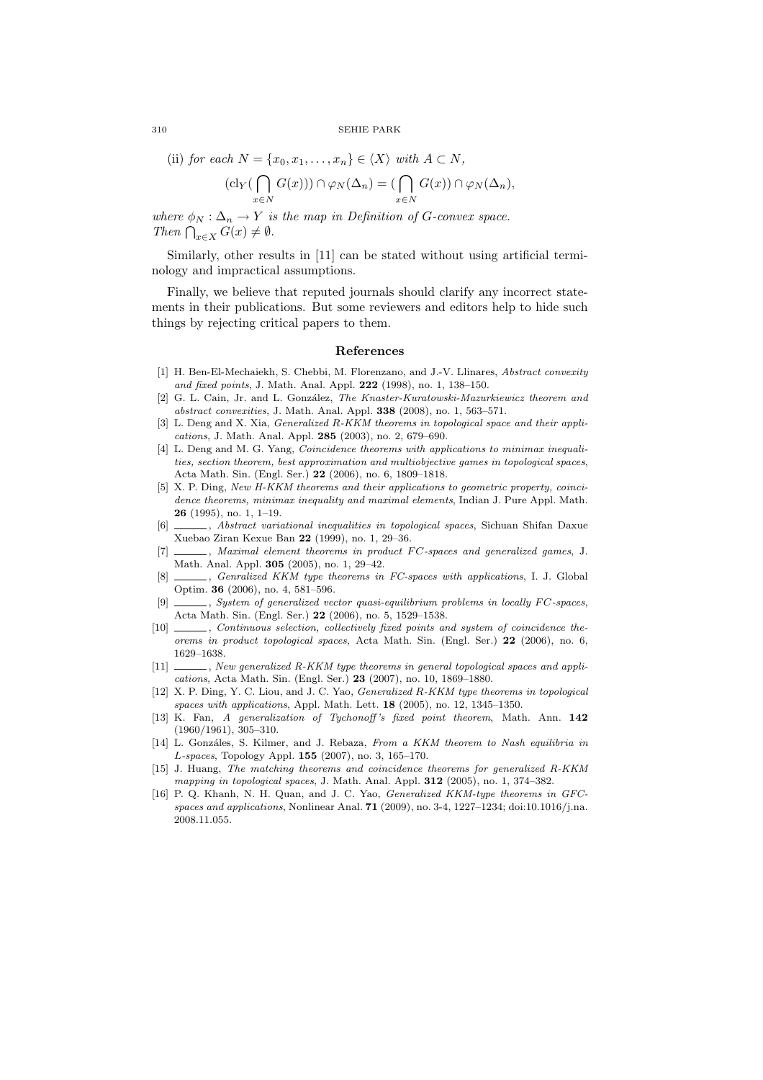#### 310 SEHIE PARK

(ii) for each 
$$
N = \{x_0, x_1, \ldots, x_n\} \in \langle X \rangle
$$
 with  $A \subset N$ ,

$$
(\mathrm{cl}_Y(\bigcap_{x\in N} G(x)))\cap \varphi_N(\Delta_n)=(\bigcap_{x\in N} G(x))\cap \varphi_N(\Delta_n),
$$

where  $\phi_N : \Delta_n \to Y$  is the map in Definition of G-convex space. where  $\varphi_N : \Delta_n \to Y$  is<br>Then  $\bigcap_{x \in X} G(x) \neq \emptyset$ .

Similarly, other results in [11] can be stated without using artificial terminology and impractical assumptions.

Finally, we believe that reputed journals should clarify any incorrect statements in their publications. But some reviewers and editors help to hide such things by rejecting critical papers to them.

#### References

- [1] H. Ben-El-Mechaiekh, S. Chebbi, M. Florenzano, and J.-V. Llinares, Abstract convexity and fixed points, J. Math. Anal. Appl. 222 (1998), no. 1, 138–150.
- [2] G. L. Cain, Jr. and L. González, The Knaster-Kuratowski-Mazurkiewicz theorem and abstract convexities, J. Math. Anal. Appl. 338 (2008), no. 1, 563–571.
- [3] L. Deng and X. Xia, *Generalized R-KKM theorems in topological space and their appli*cations, J. Math. Anal. Appl. 285 (2003), no. 2, 679–690.
- [4] L. Deng and M. G. Yang, *Coincidence theorems with applications to minimax inequali*ties, section theorem, best approximation and multiobjective games in topological spaces, Acta Math. Sin. (Engl. Ser.) 22 (2006), no. 6, 1809–1818.
- [5] X. P. Ding, New H-KKM theorems and their applications to geometric property, coincidence theorems, minimax inequality and maximal elements, Indian J. Pure Appl. Math. 26 (1995), no. 1, 1–19.
- [6] , Abstract variational inequalities in topological spaces, Sichuan Shifan Daxue Xuebao Ziran Kexue Ban 22 (1999), no. 1, 29–36.
- [7] \_\_\_\_\_, Maximal element theorems in product FC-spaces and generalized games, J. Math. Anal. Appl. 305 (2005), no. 1, 29–42.
- [8]  $\_\_\_\_\_\$ . Genralized KKM type theorems in FC-spaces with applications, I. J. Global Optim. 36 (2006), no. 4, 581–596.
- $[9]$  , System of generalized vector quasi-equilibrium problems in locally FC-spaces, Acta Math. Sin. (Engl. Ser.) 22 (2006), no. 5, 1529–1538.
- [10]  $\_\_\_\_\$ , Continuous selection, collectively fixed points and system of coincidence theorems in product topological spaces, Acta Math. Sin. (Engl. Ser.) 22 (2006), no. 6, 1629–1638.
- [11] \_\_\_\_\_\_, New generalized R-KKM type theorems in general topological spaces and applications, Acta Math. Sin. (Engl. Ser.) 23 (2007), no. 10, 1869–1880.
- [12] X. P. Ding, Y. C. Liou, and J. C. Yao, *Generalized R-KKM type theorems in topological* spaces with applications, Appl. Math. Lett. 18 (2005), no. 12, 1345–1350.
- [13] K. Fan, A generalization of Tychonoff 's fixed point theorem, Math. Ann. 142 (1960/1961), 305–310.
- [14] L. Gonzáles, S. Kilmer, and J. Rebaza, From a KKM theorem to Nash equilibria in L-spaces, Topology Appl. 155 (2007), no. 3, 165–170.
- [15] J. Huang, The matching theorems and coincidence theorems for generalized R-KKM mapping in topological spaces, J. Math. Anal. Appl. **312** (2005), no. 1, 374–382.
- [16] P. Q. Khanh, N. H. Quan, and J. C. Yao, Generalized KKM-type theorems in GFCspaces and applications, Nonlinear Anal. 71 (2009), no. 3-4, 1227–1234; doi:10.1016/j.na. 2008.11.055.